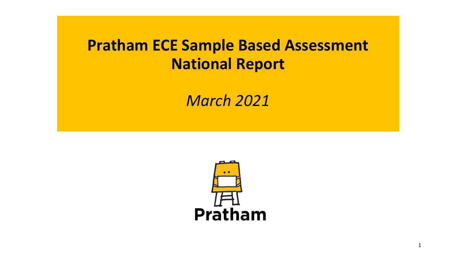# **Pratham ECE Sample Based Assessment National Report**

*March 2021*

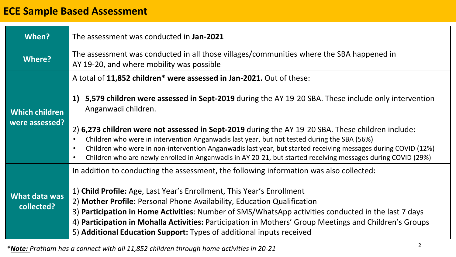# **ECE Sample Based Assessment**

| When?                                   | The assessment was conducted in Jan-2021                                                                                                                                                                                                                                                                                                                                                                                                                                                                                                                                                                                                               |
|-----------------------------------------|--------------------------------------------------------------------------------------------------------------------------------------------------------------------------------------------------------------------------------------------------------------------------------------------------------------------------------------------------------------------------------------------------------------------------------------------------------------------------------------------------------------------------------------------------------------------------------------------------------------------------------------------------------|
| Where?                                  | The assessment was conducted in all those villages/communities where the SBA happened in<br>AY 19-20, and where mobility was possible                                                                                                                                                                                                                                                                                                                                                                                                                                                                                                                  |
| <b>Which children</b><br>were assessed? | A total of 11,852 children* were assessed in Jan-2021. Out of these:<br>1) 5,579 children were assessed in Sept-2019 during the AY 19-20 SBA. These include only intervention<br>Anganwadi children.<br>2) 6,273 children were not assessed in Sept-2019 during the AY 19-20 SBA. These children include:<br>Children who were in intervention Anganwadis last year, but not tested during the SBA (56%)<br>Children who were in non-intervention Anganwadis last year, but started receiving messages during COVID (12%)<br>Children who are newly enrolled in Anganwadis in AY 20-21, but started receiving messages during COVID (29%)<br>$\bullet$ |
| What data was<br>collected?             | In addition to conducting the assessment, the following information was also collected:<br>1) Child Profile: Age, Last Year's Enrollment, This Year's Enrollment<br>2) Mother Profile: Personal Phone Availability, Education Qualification<br>3) Participation in Home Activities: Number of SMS/WhatsApp activities conducted in the last 7 days<br>4) Participation in Mohalla Activities: Participation in Mothers' Group Meetings and Children's Groups<br>5) Additional Education Support: Types of additional inputs received                                                                                                                   |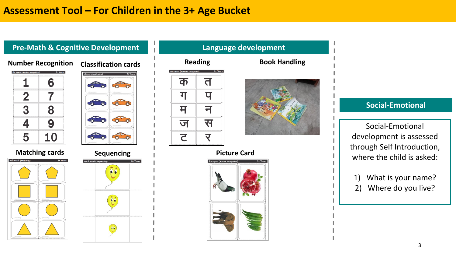## **Assessment Tool – For Children in the 3+ Age Bucket**

### **Pre-Math & Cognitive Development Language development**

#### **Number Recognition Classification cards**

| अंक पहचान (Number recognition) | 3+ Years |
|--------------------------------|----------|
|                                | 6        |
| 2                              |          |
| 3                              | 8        |
|                                | 9        |
| 5                              | Ъ.       |

#### **Matching cards Sequencing**







#### **Reading** त क ग प न म स ज र **2**



#### **Picture Card**



# **Social-Emotional**

Social-Emotional development is assessed through Self Introduction, where the child is asked:

- 1) What is your name?
- 2) Where do you live?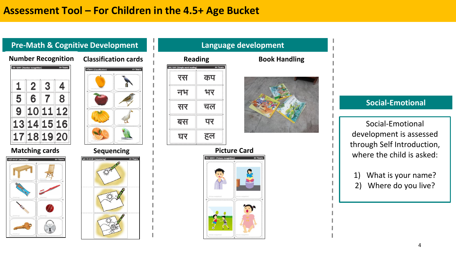### **Pre-Math & Cognitive Development Language development**



#### **Matching cards Sequencing**









### **Social-Emotional**

Social-Emotional development is assessed through Self Introduction, where the child is asked:

- 1) What is your name? 2) Where do you live?
	-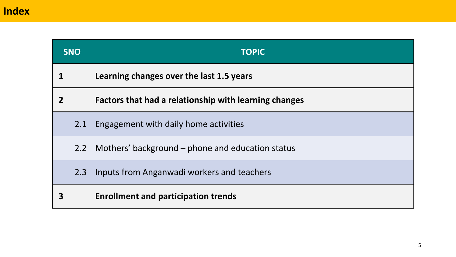|                | <b>SNO</b> | <b>TOPIC</b>                                          |  |  |  |  |  |  |
|----------------|------------|-------------------------------------------------------|--|--|--|--|--|--|
|                |            | Learning changes over the last 1.5 years              |  |  |  |  |  |  |
| $\overline{2}$ |            | Factors that had a relationship with learning changes |  |  |  |  |  |  |
|                | 2.1        | Engagement with daily home activities                 |  |  |  |  |  |  |
|                | 2.2        | Mothers' background – phone and education status      |  |  |  |  |  |  |
|                | 2.3        | Inputs from Anganwadi workers and teachers            |  |  |  |  |  |  |
| 3              |            | <b>Enrollment and participation trends</b>            |  |  |  |  |  |  |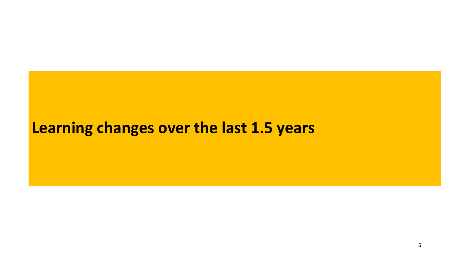# **Learning changes over the last 1.5 years**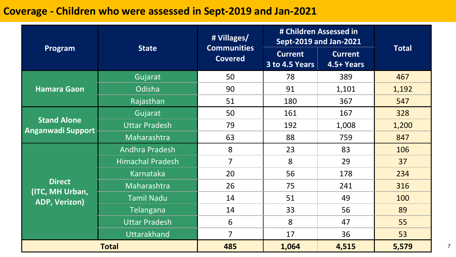# **Coverage - Children who were assessed in Sept-2019 and Jan-2021**

|                                                                                                                                                                                                                                                                                                                                                                                                                                                                                                                                                                                                                                                                                                                                                                                                  |                              | # Villages/  |       |       |       |
|--------------------------------------------------------------------------------------------------------------------------------------------------------------------------------------------------------------------------------------------------------------------------------------------------------------------------------------------------------------------------------------------------------------------------------------------------------------------------------------------------------------------------------------------------------------------------------------------------------------------------------------------------------------------------------------------------------------------------------------------------------------------------------------------------|------------------------------|--------------|-------|-------|-------|
| # Children Assessed in<br><b>Sept-2019 and Jan-2021</b><br><b>Communities</b><br><b>State</b><br>Program<br><b>Current</b><br><b>Covered</b><br>3 to 4.5 Years<br>Gujarat<br>50<br>78<br>389<br>Odisha<br>90<br>91<br><b>Hamara Gaon</b><br>Rajasthan<br>51<br>180<br>367<br>Gujarat<br>50<br>161<br>167<br><b>Stand Alone</b><br><b>Uttar Pradesh</b><br>79<br>192<br>Maharashtra<br>63<br>88<br>759<br>8<br>23<br>83<br>Andhra Pradesh<br>$\overline{7}$<br>8<br><b>Himachal Pradesh</b><br>29<br>Karnataka<br>20<br>56<br>178<br><b>Direct</b><br>26<br>Maharashtra<br>75<br>241<br>(ITC, MH Urban,<br><b>Tamil Nadu</b><br>49<br>14<br>51<br><b>ADP, Verizon)</b><br>14<br>33<br>56<br>Telangana<br>8<br><b>Uttar Pradesh</b><br>6<br>47<br><b>Uttarakhand</b><br>$\overline{7}$<br>17<br>36 | <b>Current</b><br>4.5+ Years | <b>Total</b> |       |       |       |
|                                                                                                                                                                                                                                                                                                                                                                                                                                                                                                                                                                                                                                                                                                                                                                                                  |                              |              |       |       | 467   |
|                                                                                                                                                                                                                                                                                                                                                                                                                                                                                                                                                                                                                                                                                                                                                                                                  |                              |              |       | 1,101 | 1,192 |
|                                                                                                                                                                                                                                                                                                                                                                                                                                                                                                                                                                                                                                                                                                                                                                                                  |                              |              |       |       | 547   |
| <b>Anganwadi Support</b>                                                                                                                                                                                                                                                                                                                                                                                                                                                                                                                                                                                                                                                                                                                                                                         |                              |              |       |       | 328   |
|                                                                                                                                                                                                                                                                                                                                                                                                                                                                                                                                                                                                                                                                                                                                                                                                  |                              |              |       | 1,008 | 1,200 |
|                                                                                                                                                                                                                                                                                                                                                                                                                                                                                                                                                                                                                                                                                                                                                                                                  |                              |              |       |       | 847   |
|                                                                                                                                                                                                                                                                                                                                                                                                                                                                                                                                                                                                                                                                                                                                                                                                  |                              |              |       |       | 106   |
|                                                                                                                                                                                                                                                                                                                                                                                                                                                                                                                                                                                                                                                                                                                                                                                                  |                              |              |       |       | 37    |
|                                                                                                                                                                                                                                                                                                                                                                                                                                                                                                                                                                                                                                                                                                                                                                                                  |                              |              |       |       | 234   |
|                                                                                                                                                                                                                                                                                                                                                                                                                                                                                                                                                                                                                                                                                                                                                                                                  |                              |              |       |       | 316   |
|                                                                                                                                                                                                                                                                                                                                                                                                                                                                                                                                                                                                                                                                                                                                                                                                  |                              |              |       |       | 100   |
|                                                                                                                                                                                                                                                                                                                                                                                                                                                                                                                                                                                                                                                                                                                                                                                                  |                              |              |       |       | 89    |
|                                                                                                                                                                                                                                                                                                                                                                                                                                                                                                                                                                                                                                                                                                                                                                                                  |                              |              |       |       | 55    |
|                                                                                                                                                                                                                                                                                                                                                                                                                                                                                                                                                                                                                                                                                                                                                                                                  |                              |              |       |       | 53    |
|                                                                                                                                                                                                                                                                                                                                                                                                                                                                                                                                                                                                                                                                                                                                                                                                  | <b>Total</b>                 | 485          | 1,064 | 4,515 | 5,579 |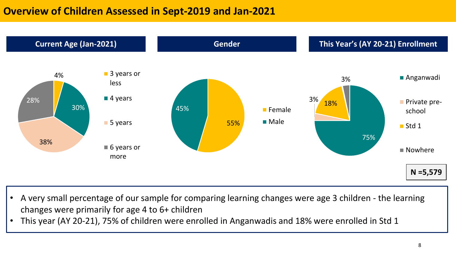# **Overview of Children Assessed in Sept-2019 and Jan-2021**



- A very small percentage of our sample for comparing learning changes were age 3 children the learning changes were primarily for age 4 to 6+ children
- This year (AY 20-21), 75% of children were enrolled in Anganwadis and 18% were enrolled in Std 1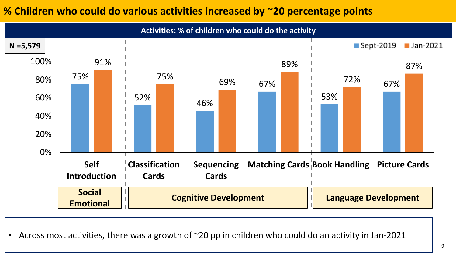# **% Children who could do various activities increased by ~20 percentage points**



• Across most activities, there was a growth of ~20 pp in children who could do an activity in Jan-2021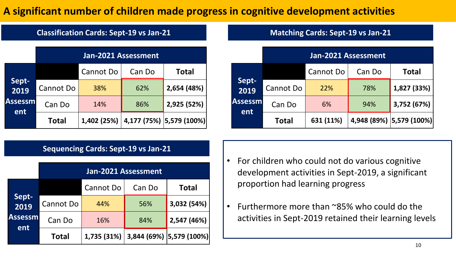# **A significant number of children made progress in cognitive development activities**

### **Classification Cards: Sept-19 vs Jan-21**

|                        | Jan-2021 Assessment |             |        |                          |  |  |  |  |  |  |  |  |
|------------------------|---------------------|-------------|--------|--------------------------|--|--|--|--|--|--|--|--|
|                        |                     | Cannot Do   | Can Do | <b>Total</b>             |  |  |  |  |  |  |  |  |
| Sept-<br>2019          | Cannot Do           | 38%         | 62%    | 2,654 (48%)              |  |  |  |  |  |  |  |  |
| <b>Assessml</b><br>ent | Can Do              | 14%         | 86%    | 2,925 (52%)              |  |  |  |  |  |  |  |  |
|                        | <b>Total</b>        | 1,402 (25%) |        | 4,177 (75%) 5,579 (100%) |  |  |  |  |  |  |  |  |

### **Sequencing Cards: Sept-19 vs Jan-21**

|                        | Jan-2021 Assessment |             |        |                          |  |  |  |  |  |  |  |  |  |
|------------------------|---------------------|-------------|--------|--------------------------|--|--|--|--|--|--|--|--|--|
| Sept-l<br>2019         |                     | Cannot Do   | Can Do | <b>Total</b>             |  |  |  |  |  |  |  |  |  |
|                        | Cannot Do           | 44%         | 56%    | 3,032 (54%)              |  |  |  |  |  |  |  |  |  |
| <b>Assessml</b><br>ent | Can Do              | 16%         | 84%    | 2,547 (46%)              |  |  |  |  |  |  |  |  |  |
|                        | <b>Total</b>        | 1,735 (31%) |        | 3,844 (69%) 5,579 (100%) |  |  |  |  |  |  |  |  |  |

#### **Matching Cards: Sept-19 vs Jan-21**

|               |                  | Jan-2021 Assessment |        |                          |  |  |  |  |  |  |  |  |  |  |
|---------------|------------------|---------------------|--------|--------------------------|--|--|--|--|--|--|--|--|--|--|
|               |                  | Cannot Do           | Can Do | <b>Total</b>             |  |  |  |  |  |  |  |  |  |  |
| Sept-<br>2019 | <b>Cannot Do</b> | 22%                 | 78%    | 1,827 (33%)              |  |  |  |  |  |  |  |  |  |  |
| Assessml      | Can Do           | 6%                  | 94%    | 3,752 (67%)              |  |  |  |  |  |  |  |  |  |  |
| ent           | <b>Total</b>     | 631 (11%)           |        | 4,948 (89%) 5,579 (100%) |  |  |  |  |  |  |  |  |  |  |

- For children who could not do various cognitive development activities in Sept-2019, a significant proportion had learning progress
- Furthermore more than ~85% who could do the activities in Sept-2019 retained their learning levels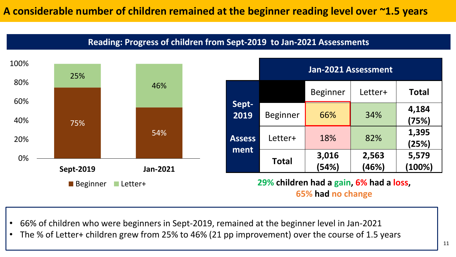**Reading: Progress of children from Sept-2019 to Jan-2021 Assessments**



- 66% of children who were beginners in Sept-2019, remained at the beginner level in Jan-2021
- The % of Letter+ children grew from 25% to 46% (21 pp improvement) over the course of 1.5 years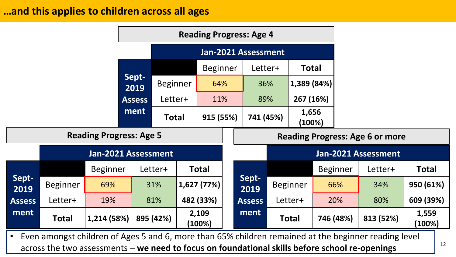## **…and this applies to children across all ages**

|               | <b>Reading Progress: Age 4</b> |                                |                     |                 |           |                 |  |                            |                 |                 |                 |                                                                                                      |                 |  |
|---------------|--------------------------------|--------------------------------|---------------------|-----------------|-----------|-----------------|--|----------------------------|-----------------|-----------------|-----------------|------------------------------------------------------------------------------------------------------|-----------------|--|
|               |                                |                                |                     |                 |           |                 |  | Jan-2021 Assessment        |                 |                 |                 |                                                                                                      |                 |  |
|               |                                |                                |                     |                 |           |                 |  | <b>Beginner</b><br>Letter+ |                 | <b>Total</b>    |                 |                                                                                                      |                 |  |
|               |                                |                                | Sept-<br>2019       | <b>Beginner</b> |           | 64%             |  |                            | 36%             | 1,389 (84%)     |                 |                                                                                                      |                 |  |
|               |                                |                                | <b>Assess</b>       | Letter+         |           | 11%             |  |                            | 89%             | 267 (16%)       |                 |                                                                                                      |                 |  |
|               | ment                           |                                | <b>Total</b>        |                 | 915 (55%) |                 |  | 741 (45%)                  | 1,656<br>(100%) |                 |                 |                                                                                                      |                 |  |
|               |                                | <b>Reading Progress: Age 5</b> |                     |                 |           |                 |  |                            |                 |                 |                 | <b>Reading Progress: Age 6 or more</b>                                                               |                 |  |
|               |                                |                                | Jan-2021 Assessment |                 |           |                 |  |                            |                 |                 |                 | Jan-2021 Assessment                                                                                  |                 |  |
|               |                                | <b>Beginner</b>                |                     | Letter+         |           | Total           |  |                            |                 |                 | <b>Beginner</b> | Letter+                                                                                              | <b>Total</b>    |  |
| Sept-<br>2019 | <b>Beginner</b>                | 69%                            |                     | 31%             |           | 1,627(77%)      |  | Sept-<br>2019              |                 | <b>Beginner</b> | 66%             | 34%                                                                                                  | 950 (61%)       |  |
| <b>Assess</b> | Letter+                        | 19%                            |                     | 81%             |           | 482 (33%)       |  | <b>Assess</b>              |                 | Letter+         | 20%             | 80%                                                                                                  | 609 (39%)       |  |
| ment          | <b>Total</b>                   | 1,214 (58%)                    |                     | 895 (42%)       |           | 2,109<br>(100%) |  | ment                       |                 | <b>Total</b>    | 746 (48%)       | 813 (52%)                                                                                            | 1,559<br>(100%) |  |
| $\bullet$     |                                |                                |                     |                 |           |                 |  |                            |                 |                 |                 | Even amongst children of Ages 5 and 6, more than 65% children remained at the beginner reading level |                 |  |

across the two assessments – we need to focus on foundational skills before school re-openings  $1^{12}$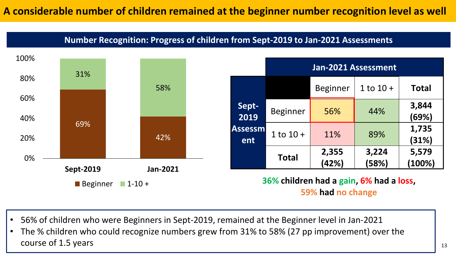### **Number Recognition: Progress of children from Sept-2019 to Jan-2021 Assessments**



- 56% of children who were Beginners in Sept-2019, remained at the Beginner level in Jan-2021
- The % children who could recognize numbers grew from 31% to 58% (27 pp improvement) over the course of 1.5 years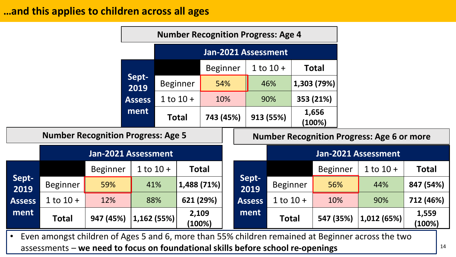## **…and this applies to children across all ages**

|               |                                           |                     |               |                     | <b>Number Recognition Progress: Age 4</b> |                 |     |               |  |               |  |                 |                                                   |                 |
|---------------|-------------------------------------------|---------------------|---------------|---------------------|-------------------------------------------|-----------------|-----|---------------|--|---------------|--|-----------------|---------------------------------------------------|-----------------|
|               |                                           |                     |               | Jan-2021 Assessment |                                           |                 |     |               |  |               |  |                 |                                                   |                 |
|               |                                           |                     |               |                     |                                           | <b>Beginner</b> |     |               |  | $1$ to $10 +$ |  | <b>Total</b>    |                                                   |                 |
|               |                                           |                     | Sept-<br>2019 |                     | <b>Beginner</b>                           |                 | 54% |               |  | 46%           |  | 1,303 (79%)     |                                                   |                 |
|               |                                           |                     | <b>Assess</b> |                     | $1$ to $10 +$                             |                 | 10% |               |  | 90%           |  | 353 (21%)       |                                                   |                 |
|               |                                           |                     | ment          |                     | <b>Total</b>                              | 743 (45%)       |     |               |  | 913 (55%)     |  | 1,656<br>(100%) |                                                   |                 |
|               | <b>Number Recognition Progress: Age 5</b> |                     |               |                     |                                           |                 |     |               |  |               |  |                 | <b>Number Recognition Progress: Age 6 or more</b> |                 |
|               |                                           | Jan-2021 Assessment |               |                     |                                           |                 |     |               |  |               |  |                 | Jan-2021 Assessment                               |                 |
|               |                                           | <b>Beginner</b>     | $1$ to $10 +$ |                     | <b>Total</b>                              |                 |     |               |  |               |  | <b>Beginner</b> | $1$ to $10 +$                                     | <b>Total</b>    |
| Sept-<br>2019 | <b>Beginner</b>                           | 59%                 | 41%           |                     | 1,488 (71%)                               |                 |     | Sept-<br>2019 |  | Beginner      |  | 56%             | 44%                                               | 847 (54%)       |
| <b>Assess</b> | $1$ to $10 +$                             | 12%                 | 88%           |                     | 621 (29%)                                 |                 |     | <b>Assess</b> |  | $1$ to $10 +$ |  | 10%             | 90%                                               | 712 (46%)       |
| ment          | <b>Total</b>                              | 947 (45%)           | 1,162 (55%)   |                     | 2,109<br>(100%)                           |                 |     | ment          |  | <b>Total</b>  |  | 547 (35%)       | 1,012 (65%)                                       | 1,559<br>(100%) |

• Even amongst children of Ages 5 and 6, more than 55% children remained at Beginner across the two assessments – **we need to focus on foundational skills before school re-openings** <sup>14</sup>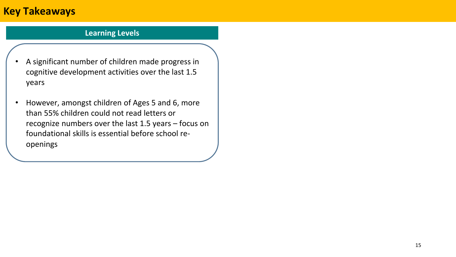# **Key Takeaways**

#### **Learning Levels**

- A significant number of children made progress in cognitive development activities over the last 1.5 years
- However, amongst children of Ages 5 and 6, more than 55% children could not read letters or recognize numbers over the last 1.5 years – focus on foundational skills is essential before school reopenings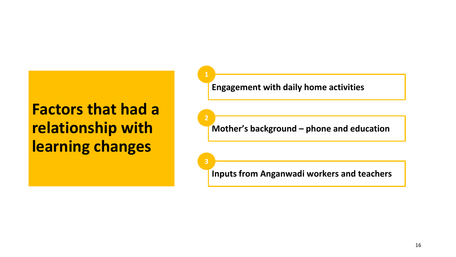# **Factors that had a relationship with learning changes**

**Engagement with daily home activities**

**2**

**3**

**Mother's background – phone and education**

**Inputs from Anganwadi workers and teachers**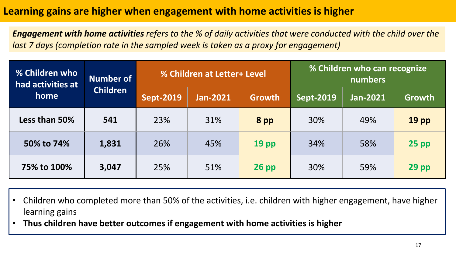# **Learning gains are higher when engagement with home activities is higher**

*Engagement with home activities refers to the % of daily activities that were conducted with the child over the last 7 days (completion rate in the sampled week is taken as a proxy for engagement)*

| % Children who<br>had activities at | <b>Number of</b><br><b>Children</b> |                  | % Children at Letter+ Level |                  | % Children who can recognize<br>numbers |          |                  |  |
|-------------------------------------|-------------------------------------|------------------|-----------------------------|------------------|-----------------------------------------|----------|------------------|--|
| home                                |                                     | <b>Sept-2019</b> | <b>Jan-2021</b>             | Growth           | <b>Sept-2019</b>                        | Jan-2021 | <b>Growth</b>    |  |
| Less than 50%                       | 541                                 | 23%              | 31%                         | 8 pp             | 30%                                     | 49%      | 19 <sub>pp</sub> |  |
| 50% to 74%                          | 1,831                               | 26%              | 45%                         | 19 <sub>pp</sub> | 34%                                     | 58%      | $25$ pp          |  |
| 75% to 100%                         | 3,047                               | 25%              | 51%                         | $26$ pp          | 30%                                     | 59%      | $29$ pp          |  |

- Children who completed more than 50% of the activities, i.e. children with higher engagement, have higher learning gains
- **Thus children have better outcomes if engagement with home activities is higher**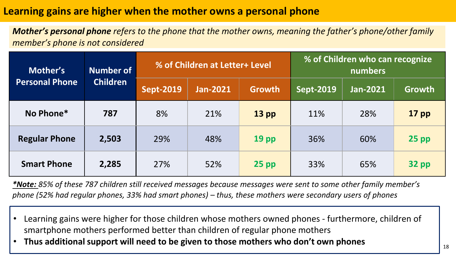# **Learning gains are higher when the mother owns a personal phone**

*Mother's personal phone refers to the phone that the mother owns, meaning the father's phone/other family member's phone is not considered*

| Mother's              | <b>Number of</b><br><b>Children</b> |                  | % of Children at Letter+ Level |                  | % of Children who can recognize<br>numbers |          |         |  |
|-----------------------|-------------------------------------|------------------|--------------------------------|------------------|--------------------------------------------|----------|---------|--|
| <b>Personal Phone</b> |                                     | <b>Sept-2019</b> | <b>Jan-2021</b>                | <b>Growth</b>    | <b>Sept-2019</b>                           | Jan-2021 | Growth  |  |
| No Phone*             | 787                                 | 8%               | 21%                            | $13$ pp          | 11%                                        | 28%      | $17$ pp |  |
| <b>Regular Phone</b>  | 2,503                               | 29%              | 48%                            | 19 <sub>pp</sub> | 36%                                        | 60%      | $25$ pp |  |
| <b>Smart Phone</b>    | 2,285                               | 27%              | 52%                            | $25$ pp          | 33%                                        | 65%      | $32$ pp |  |

*\*Note: 85% of these 787 children still received messages because messages were sent to some other family member's phone (52% had regular phones, 33% had smart phones) – thus, these mothers were secondary users of phones*

- Learning gains were higher for those children whose mothers owned phones furthermore, children of smartphone mothers performed better than children of regular phone mothers
- **Thus additional support will need to be given to those mothers who don't own phones**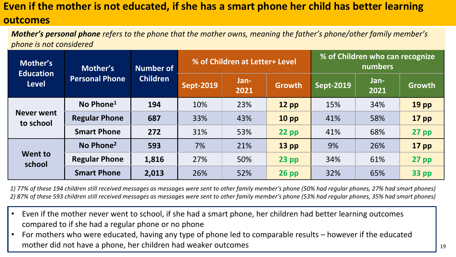# **Even if the mother is not educated, if she has a smart phone her child has better learning**

### **outcomes**

*Mother's personal phone refers to the phone that the mother owns, meaning the father's phone/other family member's phone is not considered*

| Mother's<br><b>Education</b>   | Mother's<br><b>Personal Phone</b> | <b>Number of</b> |                  | % of Children at Letter+ Level |                 | % of Children who can recognize<br>numbers |              |                  |  |
|--------------------------------|-----------------------------------|------------------|------------------|--------------------------------|-----------------|--------------------------------------------|--------------|------------------|--|
| <b>Level</b>                   |                                   | <b>Children</b>  | <b>Sept-2019</b> | Jan-<br>2021                   | Growth          | <b>Sept-2019</b>                           | Jan-<br>2021 | Growth           |  |
| <b>Never went</b><br>to school | No Phone <sup>1</sup>             | 194              | 10%              | 23%                            | $12$ pp         | 15%                                        | 34%          | 19 <sub>pp</sub> |  |
|                                | <b>Regular Phone</b>              | 687              | 33%              | 43%                            | 10 <sub>p</sub> | 41%                                        | 58%          | $17$ pp          |  |
|                                | <b>Smart Phone</b>                | 272              | 31%              | 53%                            | $22$ pp         | 41%                                        | 68%          | $27$ pp          |  |
| Went to<br>school              | No Phone <sup>2</sup>             | 593              | 7%               | 21%                            | $13$ pp         | 9%                                         | 26%          | $17$ pp          |  |
|                                | <b>Regular Phone</b>              | 1,816            | 27%              | 50%                            | $23$ pp         | 34%                                        | 61%          | $27$ pp          |  |
|                                | <b>Smart Phone</b>                | 2,013            | 26%              | 52%                            | $26$ pp         | 32%                                        | 65%          | <b>33 pp</b>     |  |

*1) 77% of these 194 children still received messages as messages were sent to other family member's phone (50% had regular phones, 27% had smart phones) 2) 87% of these 593 children still received messages as messages were sent to other family member's phone (53% had regular phones, 35% had smart phones)* 

- Even if the mother never went to school, if she had a smart phone, her children had better learning outcomes compared to if she had a regular phone or no phone
- For mothers who were educated, having any type of phone led to comparable results however if the educated mother did not have a phone, her children had weaker outcomes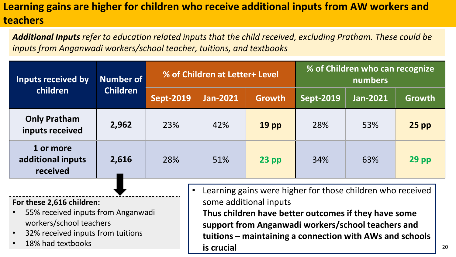# **Learning gains are higher for children who receive additional inputs from AW workers and teachers**

*Additional Inputs refer to education related inputs that the child received, excluding Pratham. These could be inputs from Anganwadi workers/school teacher, tuitions, and textbooks*

| Inputs received by                                        | Number of<br><b>Children</b> | % of Children at Letter+ Level |                 |               | % of Children who can recognize<br>numbers  |                 |         |  |
|-----------------------------------------------------------|------------------------------|--------------------------------|-----------------|---------------|---------------------------------------------|-----------------|---------|--|
| children                                                  |                              | <b>Sept-2019</b>               | <b>Jan-2021</b> | <b>Growth</b> | $\overline{\mathsf{Sept}}$ -2019 $^\dagger$ | <b>Jan-2021</b> | Growth  |  |
| <b>Only Pratham</b><br>inputs received                    | 2,962                        | 23%                            | 42%             | <b>19 pp</b>  | 28%                                         | 53%             | $25$ pp |  |
| 1 or more<br>additional inputs<br>received                | 2,616                        | 28%                            | 51%             | $23$ pp       | 34%                                         | 63%             | $29$ pp |  |
| earning gains were higher for those children who received |                              |                                |                 |               |                                             |                 |         |  |

**For these 2,616 children:** 

- 55% received inputs from Anganwadi workers/school teachers
- 32% received inputs from tuitions
- 
- Learning gains were higher for those children who received some additional inputs **Thus children have better outcomes if they have some support from Anganwadi workers/school teachers and tuitions – maintaining a connection with AWs and schools is crucial** • 18% had textbooks <sup>20</sup>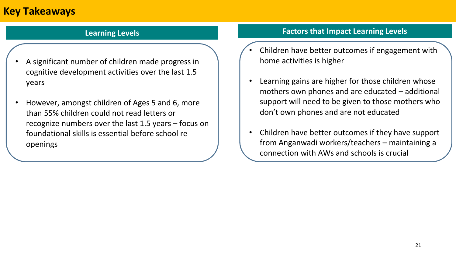# **Key Takeaways**

- A significant number of children made progress in cognitive development activities over the last 1.5 years
- However, amongst children of Ages 5 and 6, more than 55% children could not read letters or recognize numbers over the last 1.5 years – focus on foundational skills is essential before school reopenings

#### **Learning Levels Factors that Impact Learning Levels**

- Children have better outcomes if engagement with home activities is higher
- Learning gains are higher for those children whose mothers own phones and are educated – additional support will need to be given to those mothers who don't own phones and are not educated
- Children have better outcomes if they have support from Anganwadi workers/teachers – maintaining a connection with AWs and schools is crucial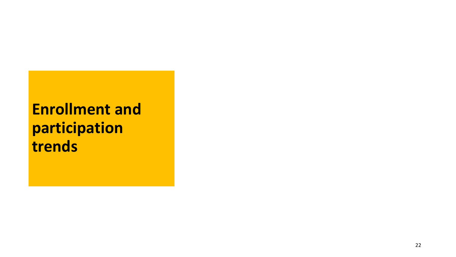# **Enrollment and participation trends**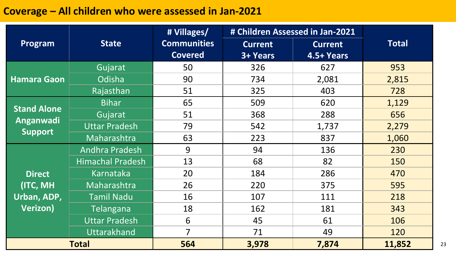# **Coverage – All children who were assessed in Jan-2021**

|                    |                         | # Villages/        |                | # Children Assessed in Jan-2021 |              |
|--------------------|-------------------------|--------------------|----------------|---------------------------------|--------------|
| Program            | <b>State</b>            | <b>Communities</b> | <b>Current</b> | <b>Current</b>                  | <b>Total</b> |
|                    |                         | <b>Covered</b>     | 3+ Years       | 4.5+ Years                      |              |
|                    | Gujarat                 | 50                 | 326            | 627                             | 953          |
| <b>Hamara Gaon</b> | Odisha                  | 90                 | 734            | 2,081                           | 2,815        |
|                    | Rajasthan               | 51                 | 325            | 403                             | 728          |
| <b>Stand Alone</b> | <b>Bihar</b>            | 65                 | 509            | 620                             | 1,129        |
|                    | Gujarat                 | 51                 | 368            | 288                             | 656          |
| Anganwadi          | <b>Uttar Pradesh</b>    | 79                 | 542            | 1,737                           | 2,279        |
| <b>Support</b>     | Maharashtra             | 63                 | 223            | 837                             | 1,060        |
|                    | <b>Andhra Pradesh</b>   | 9                  | 94             | 136                             | 230          |
|                    | <b>Himachal Pradesh</b> | 13                 | 68             | 82                              | 150          |
| <b>Direct</b>      | Karnataka               | 20                 | 184            | 286                             | 470          |
| (ITC, MH           | Maharashtra             | 26                 | 220            | 375                             | 595          |
| Urban, ADP,        | <b>Tamil Nadu</b>       | 16                 | 107            | 111                             | 218          |
| <b>Verizon)</b>    | <b>Telangana</b>        | 18                 | 162            | 181                             | 343          |
|                    | <b>Uttar Pradesh</b>    | 6                  | 45             | 61                              | 106          |
|                    | <b>Uttarakhand</b>      | $\overline{7}$     | 71             | 49                              | 120          |
| <b>Total</b>       |                         | 564                | 3,978          | 7,874                           | 11,852       |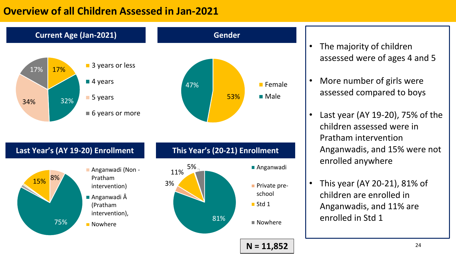# **Overview of all Children Assessed in Jan-2021**



- The majority of children assessed were of ages 4 and 5
- More number of girls were assessed compared to boys
- Last year (AY 19-20), 75% of the children assessed were in Pratham intervention Anganwadis, and 15% were not enrolled anywhere
- This year (AY 20-21), 81% of children are enrolled in Anganwadis, and 11% are enrolled in Std 1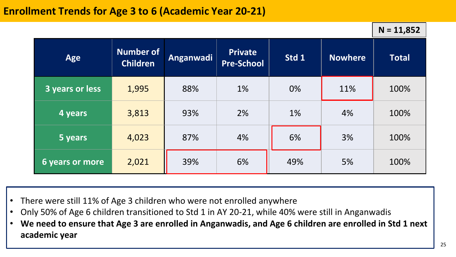**N = 11,852**

| Age             | <b>Number of</b><br><b>Children</b> | Anganwadi | <b>Private</b><br><b>Pre-School</b> | Std 1 | <b>Nowhere</b> | <b>Total</b> |
|-----------------|-------------------------------------|-----------|-------------------------------------|-------|----------------|--------------|
| 3 years or less | 1,995                               | 88%       | 1%                                  | 0%    | 11%            | 100%         |
| 4 years         | 3,813                               | 93%       | 2%                                  | 1%    | 4%             | 100%         |
| 5 years         | 4,023                               | 87%       | 4%                                  | 6%    | 3%             | 100%         |
| 6 years or more | 2,021                               | 39%       | 6%                                  | 49%   | 5%             | 100%         |

- There were still 11% of Age 3 children who were not enrolled anywhere
- Only 50% of Age 6 children transitioned to Std 1 in AY 20-21, while 40% were still in Anganwadis
- **We need to ensure that Age 3 are enrolled in Anganwadis, and Age 6 children are enrolled in Std 1 next academic year**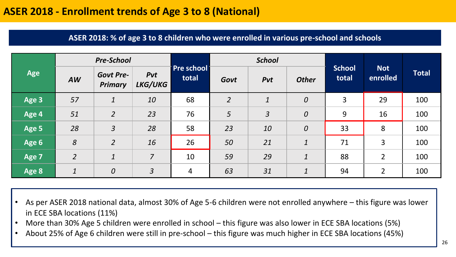# **ASER 2018 - Enrollment trends of Age 3 to 8 (National)**

#### **ASER 2018: % of age 3 to 8 children who were enrolled in various pre-school and schools**

|            |                  | <b>Pre-School</b>                  |                |                       | <b>School</b>  |                  |                  |                        |                        |              |
|------------|------------------|------------------------------------|----------------|-----------------------|----------------|------------------|------------------|------------------------|------------------------|--------------|
| <b>Age</b> | <b>AW</b>        | <b>Govt Pre-</b><br><b>Primary</b> | Pvt<br>LKG/UKG | Pre school  <br>total | Govt           | Pvt              | <b>Other</b>     | <b>School</b><br>total | <b>Not</b><br>enrolled | <b>Total</b> |
| Age 3      | 57               | $\boldsymbol{1}$                   | 10             | 68                    | $\overline{2}$ | $\boldsymbol{1}$ | $\boldsymbol{0}$ | 3                      | 29                     | 100          |
| Age 4      | 51               | $\overline{2}$                     | 23             | 76                    | 5              | $\overline{3}$   | $\boldsymbol{0}$ | 9                      | 16                     | 100          |
| Age 5      | 28               | $\overline{3}$                     | 28             | 58                    | 23             | 10               | $\boldsymbol{0}$ | 33                     | 8                      | 100          |
| Age 6      | 8                | $\overline{2}$                     | 16             | 26                    | 50             | 21               | $\mathbf{1}$     | 71                     | 3                      | 100          |
| Age 7      | $\overline{2}$   | $\boldsymbol{1}$                   | $\overline{7}$ | 10                    | 59             | 29               | $\mathbf{1}$     | 88                     | $\overline{2}$         | 100          |
| Age 8      | $\boldsymbol{1}$ | $\boldsymbol{0}$                   | $\overline{3}$ | 4                     | 63             | 31               | $\boldsymbol{1}$ | 94                     | $\overline{2}$         | 100          |

• As per ASER 2018 national data, almost 30% of Age 5-6 children were not enrolled anywhere – this figure was lower in ECE SBA locations (11%)

- More than 30% Age 5 children were enrolled in school this figure was also lower in ECE SBA locations (5%)
- About 25% of Age 6 children were still in pre-school this figure was much higher in ECE SBA locations (45%)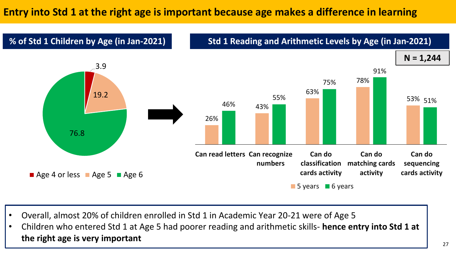# **Entry into Std 1 at the right age is important because age makes a difference in learning**



- Overall, almost 20% of children enrolled in Std 1 in Academic Year 20-21 were of Age 5
- Children who entered Std 1 at Age 5 had poorer reading and arithmetic skills- **hence entry into Std 1 at the right age is very important**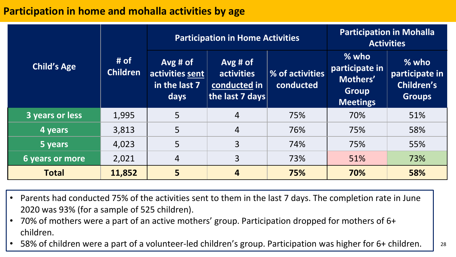# **Participation in home and mohalla activities by age**

|                        |                         |                                                              | <b>Participation in Home Activities</b>                    | <b>Participation in Mohalla</b><br><b>Activities</b> |                                                                          |                                                          |
|------------------------|-------------------------|--------------------------------------------------------------|------------------------------------------------------------|------------------------------------------------------|--------------------------------------------------------------------------|----------------------------------------------------------|
| <b>Child's Age</b>     | # of<br><b>Children</b> | $Avg\#of$<br>activities sent<br>in the last 7<br><b>days</b> | $Avg\#of$<br>activities<br>conducted in<br>the last 7 days | % of activities<br>conducted                         | $%$ who<br>participate in<br>Mothers'<br><b>Group</b><br><b>Meetings</b> | $%$ who<br>participate in<br>Children's<br><b>Groups</b> |
| <b>3 years or less</b> | 1,995                   | 5                                                            | $\overline{4}$                                             | 75%                                                  | 70%                                                                      | 51%                                                      |
| 4 years                | 3,813                   | 5                                                            | 4                                                          | 76%                                                  | 75%                                                                      | 58%                                                      |
| 5 years                | 4,023                   | 5                                                            | 3                                                          | 74%                                                  | 75%                                                                      | 55%                                                      |
| <b>6 years or more</b> | 2,021                   | $\overline{4}$                                               | 3                                                          | 73%                                                  | 51%                                                                      | 73%                                                      |
| <b>Total</b>           | 11,852                  | 5                                                            | 4                                                          | 75%                                                  | 70%                                                                      | 58%                                                      |

- Parents had conducted 75% of the activities sent to them in the last 7 days. The completion rate in June 2020 was 93% (for a sample of 525 children).
- 70% of mothers were a part of an active mothers' group. Participation dropped for mothers of 6+ children.
- 58% of children were a part of a volunteer-led children's group. Participation was higher for 6+ children. | 28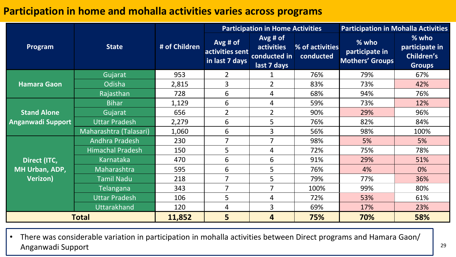# **Participation in home and mohalla activities varies across programs**

|                          |                         |               |                                                 | <b>Participation in Home Activities</b>                        | <b>Participation in Mohalla Activities</b> |                                            |                                                               |
|--------------------------|-------------------------|---------------|-------------------------------------------------|----------------------------------------------------------------|--------------------------------------------|--------------------------------------------|---------------------------------------------------------------|
| <b>Program</b>           | <b>State</b>            | # of Children | $Avg$ # of<br>activities sent<br>in last 7 days | $Avg$ # of<br><b>activities</b><br>conducted in<br>last 7 days | % of activities<br>conducted               | % who<br>participate in<br>Mothers' Groups | % who<br>participate in<br><b>Children's</b><br><b>Groups</b> |
|                          | Gujarat                 | 953           | $\overline{2}$                                  |                                                                | 76%                                        | 79%                                        | 67%                                                           |
| <b>Hamara Gaon</b>       | Odisha                  | 2,815         | 3                                               | $\overline{2}$                                                 | 83%                                        | 73%                                        | 42%                                                           |
|                          | Rajasthan               | 728           | 6                                               | 4                                                              | 68%                                        | 94%                                        | 76%                                                           |
|                          | <b>Bihar</b>            | 1,129         | 6                                               | 4                                                              | 59%                                        | 73%                                        | 12%                                                           |
| <b>Stand Alone</b>       | Gujarat                 | 656           | $\overline{2}$                                  | $\overline{2}$                                                 | 90%                                        | 29%                                        | 96%                                                           |
| <b>Anganwadi Support</b> | <b>Uttar Pradesh</b>    | 2,279         | 6                                               | 5                                                              | 76%                                        | 82%                                        | 84%                                                           |
|                          | Maharashtra (Talasari)  | 1,060         | 6                                               | 3                                                              | 56%                                        | 98%                                        | 100%                                                          |
|                          | Andhra Pradesh          | 230           | 7                                               | $\overline{7}$                                                 | 98%                                        | 5%                                         | 5%                                                            |
|                          | <b>Himachal Pradesh</b> | 150           | 5                                               | 4                                                              | 72%                                        | 75%                                        | 78%                                                           |
| Direct (ITC,             | Karnataka               | 470           | 6                                               | 6                                                              | 91%                                        | 29%                                        | 51%                                                           |
| MH Urban, ADP,           | Maharashtra             | 595           | 6                                               | 5                                                              | 76%                                        | 4%                                         | 0%                                                            |
| Verizon)                 | <b>Tamil Nadu</b>       | 218           | $\overline{7}$                                  | 5                                                              | 79%                                        | 77%                                        | 36%                                                           |
|                          | <b>Telangana</b>        | 343           | $\overline{7}$                                  | $\overline{7}$                                                 | 100%                                       | 99%                                        | 80%                                                           |
|                          | <b>Uttar Pradesh</b>    | 106           | 5                                               | 4                                                              | 72%                                        | 53%                                        | 61%                                                           |
|                          | Uttarakhand             | 120           | 4                                               | 3                                                              | 69%                                        | 17%                                        | 23%                                                           |
| <b>Total</b>             |                         | 11,852        | 5                                               | 4                                                              | 75%                                        | 70%                                        | 58%                                                           |

• There was considerable variation in participation in mohalla activities between Direct programs and Hamara Gaon/ Anganwadi Support 29